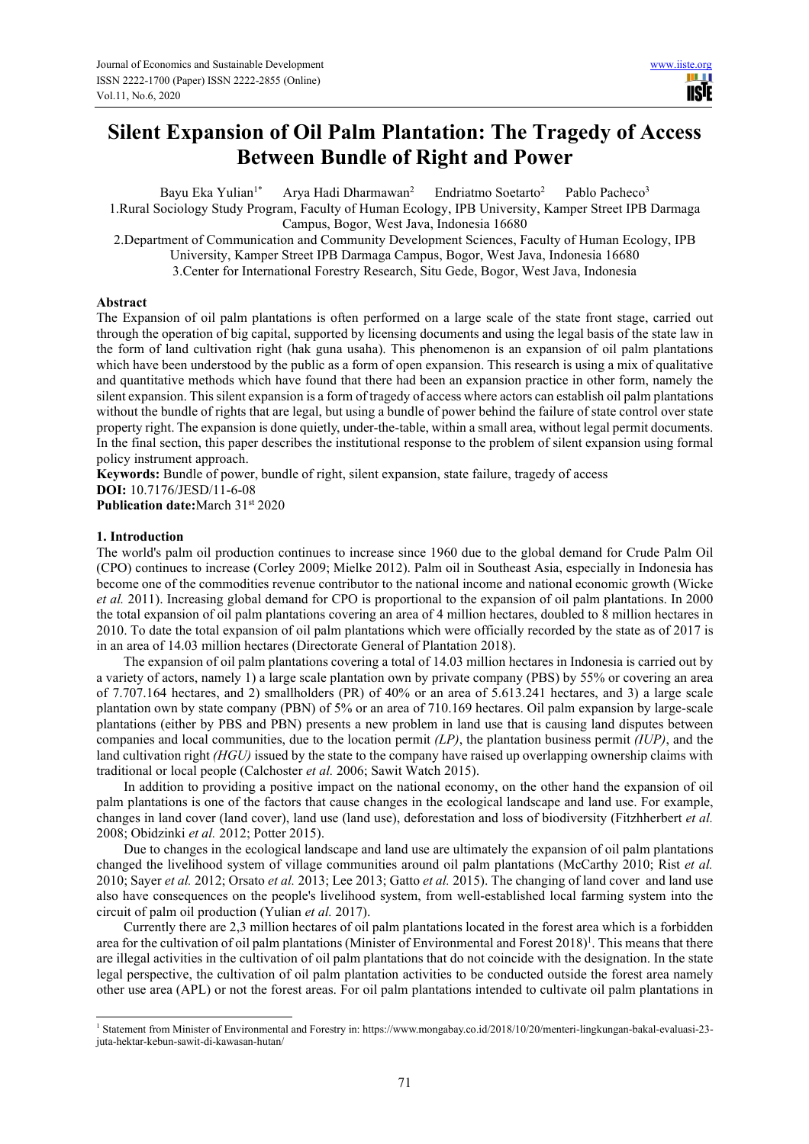# **Silent Expansion of Oil Palm Plantation: The Tragedy of Access Between Bundle of Right and Power**

Bayu Eka Yulian<sup>1\*</sup> Arya Hadi Dharmawan<sup>2</sup> Endriatmo Soetarto<sup>2</sup> Pablo Pacheco<sup>3</sup> 1.Rural Sociology Study Program, Faculty of Human Ecology, IPB University, Kamper Street IPB Darmaga Campus, Bogor, West Java, Indonesia 16680 2.Department of Communication and Community Development Sciences, Faculty of Human Ecology, IPB University, Kamper Street IPB Darmaga Campus, Bogor, West Java, Indonesia 16680 3.Center for International Forestry Research, Situ Gede, Bogor, West Java, Indonesia

## **Abstract**

The Expansion of oil palm plantations is often performed on a large scale of the state front stage, carried out through the operation of big capital, supported by licensing documents and using the legal basis of the state law in the form of land cultivation right (hak guna usaha). This phenomenon is an expansion of oil palm plantations which have been understood by the public as a form of open expansion. This research is using a mix of qualitative and quantitative methods which have found that there had been an expansion practice in other form, namely the silent expansion. This silent expansion is a form of tragedy of access where actors can establish oil palm plantations without the bundle of rights that are legal, but using a bundle of power behind the failure of state control over state property right. The expansion is done quietly, under-the-table, within a small area, without legal permit documents. In the final section, this paper describes the institutional response to the problem of silent expansion using formal policy instrument approach.

**Keywords:** Bundle of power, bundle of right, silent expansion, state failure, tragedy of access **DOI:** 10.7176/JESD/11-6-08 Publication date: March 31st 2020

## **1. Introduction**

The world's palm oil production continues to increase since 1960 due to the global demand for Crude Palm Oil (CPO) continues to increase (Corley 2009; Mielke 2012). Palm oil in Southeast Asia, especially in Indonesia has become one of the commodities revenue contributor to the national income and national economic growth (Wicke *et al.* 2011). Increasing global demand for CPO is proportional to the expansion of oil palm plantations. In 2000 the total expansion of oil palm plantations covering an area of 4 million hectares, doubled to 8 million hectares in 2010. To date the total expansion of oil palm plantations which were officially recorded by the state as of 2017 is in an area of 14.03 million hectares (Directorate General of Plantation 2018).

The expansion of oil palm plantations covering a total of 14.03 million hectares in Indonesia is carried out by a variety of actors, namely 1) a large scale plantation own by private company (PBS) by 55% or covering an area of 7.707.164 hectares, and 2) smallholders (PR) of 40% or an area of 5.613.241 hectares, and 3) a large scale plantation own by state company (PBN) of 5% or an area of 710.169 hectares. Oil palm expansion by large-scale plantations (either by PBS and PBN) presents a new problem in land use that is causing land disputes between companies and local communities, due to the location permit *(LP)*, the plantation business permit *(IUP)*, and the land cultivation right *(HGU)* issued by the state to the company have raised up overlapping ownership claims with traditional or local people (Calchoster *et al.* 2006; Sawit Watch 2015).

In addition to providing a positive impact on the national economy, on the other hand the expansion of oil palm plantations is one of the factors that cause changes in the ecological landscape and land use. For example, changes in land cover (land cover), land use (land use), deforestation and loss of biodiversity (Fitzhherbert *et al.* 2008; Obidzinki *et al.* 2012; Potter 2015).

Due to changes in the ecological landscape and land use are ultimately the expansion of oil palm plantations changed the livelihood system of village communities around oil palm plantations (McCarthy 2010; Rist *et al.* 2010; Sayer *et al.* 2012; Orsato *et al.* 2013; Lee 2013; Gatto *et al.* 2015). The changing of land cover and land use also have consequences on the people's livelihood system, from well-established local farming system into the circuit of palm oil production (Yulian *et al.* 2017).

Currently there are 2,3 million hectares of oil palm plantations located in the forest area which is a forbidden area for the cultivation of oil palm plantations (Minister of Environmental and Forest 2018)<sup>1</sup>. This means that there are illegal activities in the cultivation of oil palm plantations that do not coincide with the designation. In the state legal perspective, the cultivation of oil palm plantation activities to be conducted outside the forest area namely other use area (APL) or not the forest areas. For oil palm plantations intended to cultivate oil palm plantations in

<sup>1</sup> Statement from Minister of Environmental and Forestry in: https://www.mongabay.co.id/2018/10/20/menteri-lingkungan-bakal-evaluasi-23 juta-hektar-kebun-sawit-di-kawasan-hutan/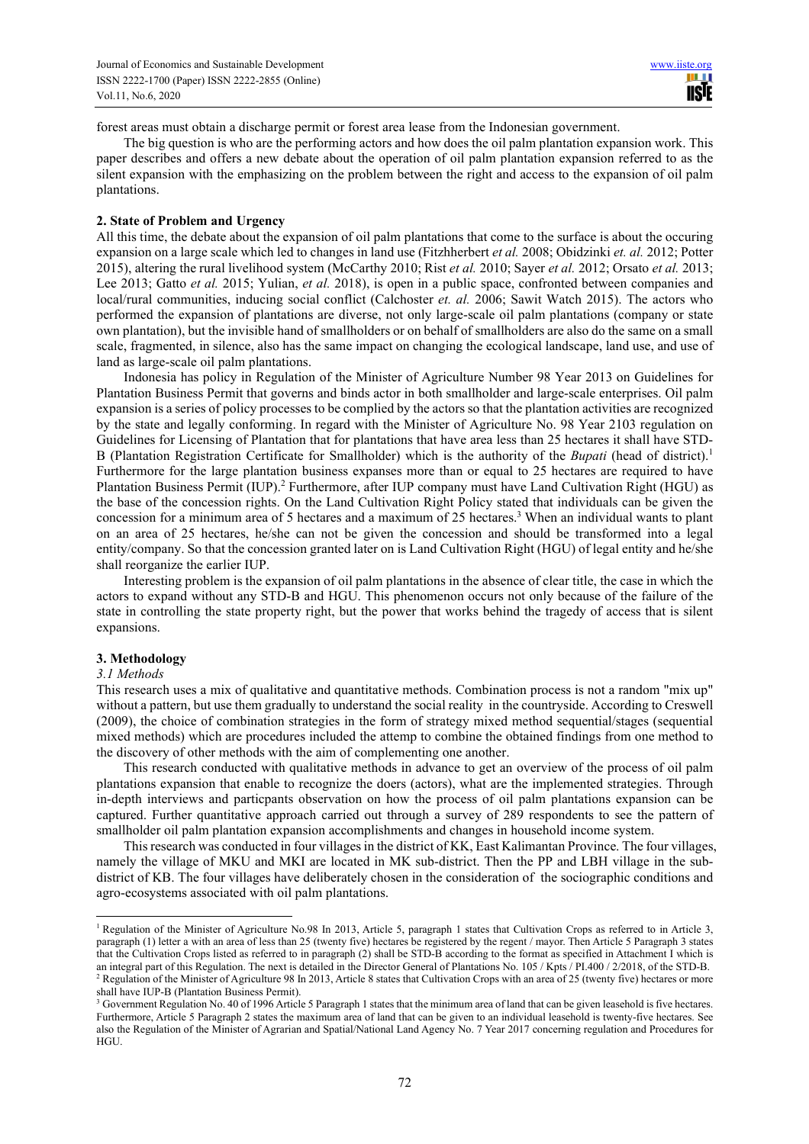forest areas must obtain a discharge permit or forest area lease from the Indonesian government.

The big question is who are the performing actors and how does the oil palm plantation expansion work. This paper describes and offers a new debate about the operation of oil palm plantation expansion referred to as the silent expansion with the emphasizing on the problem between the right and access to the expansion of oil palm plantations.

#### **2. State of Problem and Urgency**

All this time, the debate about the expansion of oil palm plantations that come to the surface is about the occuring expansion on a large scale which led to changes in land use (Fitzhherbert *et al.* 2008; Obidzinki *et. al.* 2012; Potter 2015), altering the rural livelihood system (McCarthy 2010; Rist *et al.* 2010; Sayer *et al.* 2012; Orsato *et al.* 2013; Lee 2013; Gatto *et al.* 2015; Yulian, *et al.* 2018), is open in a public space, confronted between companies and local/rural communities, inducing social conflict (Calchoster *et. al.* 2006; Sawit Watch 2015). The actors who performed the expansion of plantations are diverse, not only large-scale oil palm plantations (company or state own plantation), but the invisible hand of smallholders or on behalf of smallholders are also do the same on a small scale, fragmented, in silence, also has the same impact on changing the ecological landscape, land use, and use of land as large-scale oil palm plantations.

Indonesia has policy in Regulation of the Minister of Agriculture Number 98 Year 2013 on Guidelines for Plantation Business Permit that governs and binds actor in both smallholder and large-scale enterprises. Oil palm expansion is a series of policy processes to be complied by the actors so that the plantation activities are recognized by the state and legally conforming. In regard with the Minister of Agriculture No. 98 Year 2103 regulation on Guidelines for Licensing of Plantation that for plantations that have area less than 25 hectares it shall have STD-B (Plantation Registration Certificate for Smallholder) which is the authority of the *Bupati* (head of district).<sup>1</sup> Furthermore for the large plantation business expanses more than or equal to 25 hectares are required to have Plantation Business Permit (IUP).<sup>2</sup> Furthermore, after IUP company must have Land Cultivation Right (HGU) as the base of the concession rights. On the Land Cultivation Right Policy stated that individuals can be given the concession for a minimum area of 5 hectares and a maximum of 25 hectares.<sup>3</sup> When an individual wants to plant on an area of 25 hectares, he/she can not be given the concession and should be transformed into a legal entity/company. So that the concession granted later on is Land Cultivation Right (HGU) of legal entity and he/she shall reorganize the earlier IUP.

Interesting problem is the expansion of oil palm plantations in the absence of clear title, the case in which the actors to expand without any STD-B and HGU. This phenomenon occurs not only because of the failure of the state in controlling the state property right, but the power that works behind the tragedy of access that is silent expansions.

### **3. Methodology**

#### *3.1 Methods*

This research uses a mix of qualitative and quantitative methods. Combination process is not a random "mix up" without a pattern, but use them gradually to understand the social reality in the countryside. According to Creswell (2009), the choice of combination strategies in the form of strategy mixed method sequential/stages (sequential mixed methods) which are procedures included the attemp to combine the obtained findings from one method to the discovery of other methods with the aim of complementing one another.

This research conducted with qualitative methods in advance to get an overview of the process of oil palm plantations expansion that enable to recognize the doers (actors), what are the implemented strategies. Through in-depth interviews and particpants observation on how the process of oil palm plantations expansion can be captured. Further quantitative approach carried out through a survey of 289 respondents to see the pattern of smallholder oil palm plantation expansion accomplishments and changes in household income system.

This research was conducted in four villages in the district of KK, East Kalimantan Province. The four villages, namely the village of MKU and MKI are located in MK sub-district. Then the PP and LBH village in the subdistrict of KB. The four villages have deliberately chosen in the consideration of the sociographic conditions and agro-ecosystems associated with oil palm plantations.

<sup>&</sup>lt;sup>1</sup> Regulation of the Minister of Agriculture No.98 In 2013, Article 5, paragraph 1 states that Cultivation Crops as referred to in Article 3, paragraph (1) letter a with an area of less than 25 (twenty five) hectares be registered by the regent / mayor. Then Article 5 Paragraph 3 states that the Cultivation Crops listed as referred to in paragraph (2) shall be STD-B according to the format as specified in Attachment I which is an integral part of this Regulation. The next is detailed in the Director General of Plantations No. 105 / Kpts / PI.400 / 2/2018, of the STD-B. <sup>2</sup> Regulation of the Minister of Agriculture 98 In 2013, Article 8 states that Cultivation Crops with an area of 25 (twenty five) hectares or more shall have IUP-B (Plantation Business Permit).

<sup>&</sup>lt;sup>3</sup> Government Regulation No. 40 of 1996 Article 5 Paragraph 1 states that the minimum area of land that can be given leasehold is five hectares. Furthermore, Article 5 Paragraph 2 states the maximum area of land that can be given to an individual leasehold is twenty-five hectares. See also the Regulation of the Minister of Agrarian and Spatial/National Land Agency No. 7 Year 2017 concerning regulation and Procedures for HGU.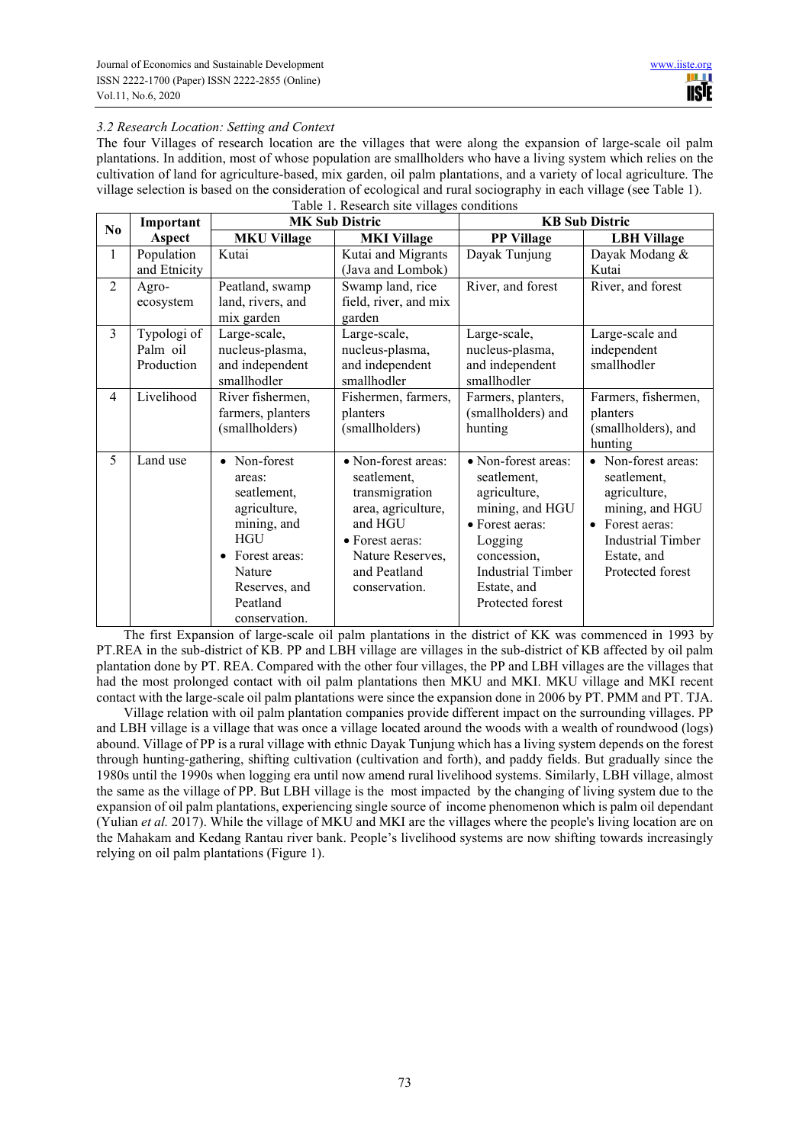# *3.2 Research Location: Setting and Context*

The four Villages of research location are the villages that were along the expansion of large-scale oil palm plantations. In addition, most of whose population are smallholders who have a living system which relies on the cultivation of land for agriculture-based, mix garden, oil palm plantations, and a variety of local agriculture. The village selection is based on the consideration of ecological and rural sociography in each village (see Table 1). Table 1. Research site villages conditions

| No             | Important                             | raoic 1. Research she vinages conditions<br><b>MK Sub Distric</b>                                                                                                        |                                                                                                                                                               | <b>KB</b> Sub Distric                                                                                                                                                             |                                                                                                                                                  |
|----------------|---------------------------------------|--------------------------------------------------------------------------------------------------------------------------------------------------------------------------|---------------------------------------------------------------------------------------------------------------------------------------------------------------|-----------------------------------------------------------------------------------------------------------------------------------------------------------------------------------|--------------------------------------------------------------------------------------------------------------------------------------------------|
|                | Aspect                                | <b>MKU Village</b>                                                                                                                                                       | <b>MKI Village</b>                                                                                                                                            | <b>PP Village</b>                                                                                                                                                                 | <b>LBH Village</b>                                                                                                                               |
| 1              | Population<br>and Etnicity            | Kutai                                                                                                                                                                    | Kutai and Migrants<br>(Java and Lombok)                                                                                                                       | Dayak Tunjung                                                                                                                                                                     | Dayak Modang &<br>Kutai                                                                                                                          |
| $\overline{c}$ | Agro-<br>ecosystem                    | Peatland, swamp<br>land, rivers, and<br>mix garden                                                                                                                       | Swamp land, rice<br>field, river, and mix<br>garden                                                                                                           | River, and forest                                                                                                                                                                 | River, and forest                                                                                                                                |
| 3              | Typologi of<br>Palm oil<br>Production | Large-scale,<br>nucleus-plasma,<br>and independent<br>smallhodler                                                                                                        | Large-scale,<br>nucleus-plasma,<br>and independent<br>smallhodler                                                                                             | Large-scale,<br>nucleus-plasma,<br>and independent<br>smallhodler                                                                                                                 | Large-scale and<br>independent<br>smallhodler                                                                                                    |
| $\overline{4}$ | Livelihood                            | River fishermen,<br>farmers, planters<br>(smallholders)                                                                                                                  | Fishermen, farmers,<br>planters<br>(smallholders)                                                                                                             | Farmers, planters,<br>(smallholders) and<br>hunting                                                                                                                               | Farmers, fishermen,<br>planters<br>(smallholders), and<br>hunting                                                                                |
| 5              | Land use                              | • Non-forest<br>areas:<br>seatlement,<br>agriculture,<br>mining, and<br><b>HGU</b><br>Forest areas:<br>$\bullet$<br>Nature<br>Reserves, and<br>Peatland<br>conservation. | • Non-forest areas:<br>seatlement,<br>transmigration<br>area, agriculture,<br>and HGU<br>• Forest aeras:<br>Nature Reserves,<br>and Peatland<br>conservation. | • Non-forest areas:<br>seatlement,<br>agriculture,<br>mining, and HGU<br>• Forest aeras:<br>Logging<br>concession,<br><b>Industrial Timber</b><br>Estate, and<br>Protected forest | • Non-forest areas:<br>seatlement,<br>agriculture,<br>mining, and HGU<br>• Forest aeras:<br>Industrial Timber<br>Estate, and<br>Protected forest |

The first Expansion of large-scale oil palm plantations in the district of KK was commenced in 1993 by PT.REA in the sub-district of KB. PP and LBH village are villages in the sub-district of KB affected by oil palm plantation done by PT. REA. Compared with the other four villages, the PP and LBH villages are the villages that had the most prolonged contact with oil palm plantations then MKU and MKI. MKU village and MKI recent contact with the large-scale oil palm plantations were since the expansion done in 2006 by PT. PMM and PT. TJA.

Village relation with oil palm plantation companies provide different impact on the surrounding villages. PP and LBH village is a village that was once a village located around the woods with a wealth of roundwood (logs) abound. Village of PP is a rural village with ethnic Dayak Tunjung which has a living system depends on the forest through hunting-gathering, shifting cultivation (cultivation and forth), and paddy fields. But gradually since the 1980s until the 1990s when logging era until now amend rural livelihood systems. Similarly, LBH village, almost the same as the village of PP. But LBH village is the most impacted by the changing of living system due to the expansion of oil palm plantations, experiencing single source of income phenomenon which is palm oil dependant (Yulian *et al.* 2017). While the village of MKU and MKI are the villages where the people's living location are on the Mahakam and Kedang Rantau river bank. People's livelihood systems are now shifting towards increasingly relying on oil palm plantations (Figure 1).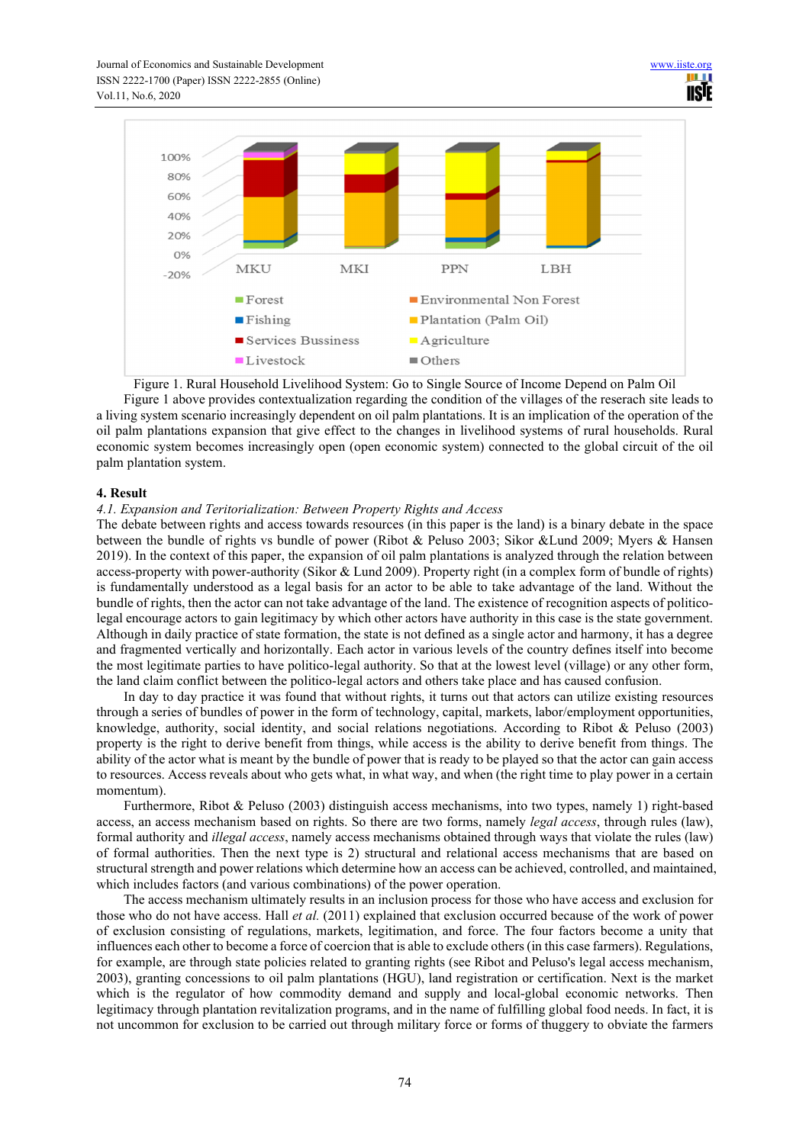

Figure 1. Rural Household Livelihood System: Go to Single Source of Income Depend on Palm Oil

Figure 1 above provides contextualization regarding the condition of the villages of the reserach site leads to a living system scenario increasingly dependent on oil palm plantations. It is an implication of the operation of the oil palm plantations expansion that give effect to the changes in livelihood systems of rural households. Rural economic system becomes increasingly open (open economic system) connected to the global circuit of the oil palm plantation system.

## **4. Result**

### *4.1. Expansion and Teritorialization: Between Property Rights and Access*

The debate between rights and access towards resources (in this paper is the land) is a binary debate in the space between the bundle of rights vs bundle of power (Ribot & Peluso 2003; Sikor &Lund 2009; Myers & Hansen 2019). In the context of this paper, the expansion of oil palm plantations is analyzed through the relation between access-property with power-authority (Sikor & Lund 2009). Property right (in a complex form of bundle of rights) is fundamentally understood as a legal basis for an actor to be able to take advantage of the land. Without the bundle of rights, then the actor can not take advantage of the land. The existence of recognition aspects of politicolegal encourage actors to gain legitimacy by which other actors have authority in this case is the state government. Although in daily practice of state formation, the state is not defined as a single actor and harmony, it has a degree and fragmented vertically and horizontally. Each actor in various levels of the country defines itself into become the most legitimate parties to have politico-legal authority. So that at the lowest level (village) or any other form, the land claim conflict between the politico-legal actors and others take place and has caused confusion.

In day to day practice it was found that without rights, it turns out that actors can utilize existing resources through a series of bundles of power in the form of technology, capital, markets, labor/employment opportunities, knowledge, authority, social identity, and social relations negotiations. According to Ribot & Peluso (2003) property is the right to derive benefit from things, while access is the ability to derive benefit from things. The ability of the actor what is meant by the bundle of power that is ready to be played so that the actor can gain access to resources. Access reveals about who gets what, in what way, and when (the right time to play power in a certain momentum).

Furthermore, Ribot & Peluso (2003) distinguish access mechanisms, into two types, namely 1) right-based access, an access mechanism based on rights. So there are two forms, namely *legal access*, through rules (law), formal authority and *illegal access*, namely access mechanisms obtained through ways that violate the rules (law) of formal authorities. Then the next type is 2) structural and relational access mechanisms that are based on structural strength and power relations which determine how an access can be achieved, controlled, and maintained, which includes factors (and various combinations) of the power operation.

The access mechanism ultimately results in an inclusion process for those who have access and exclusion for those who do not have access. Hall *et al.* (2011) explained that exclusion occurred because of the work of power of exclusion consisting of regulations, markets, legitimation, and force. The four factors become a unity that influences each other to become a force of coercion that is able to exclude others (in this case farmers). Regulations, for example, are through state policies related to granting rights (see Ribot and Peluso's legal access mechanism, 2003), granting concessions to oil palm plantations (HGU), land registration or certification. Next is the market which is the regulator of how commodity demand and supply and local-global economic networks. Then legitimacy through plantation revitalization programs, and in the name of fulfilling global food needs. In fact, it is not uncommon for exclusion to be carried out through military force or forms of thuggery to obviate the farmers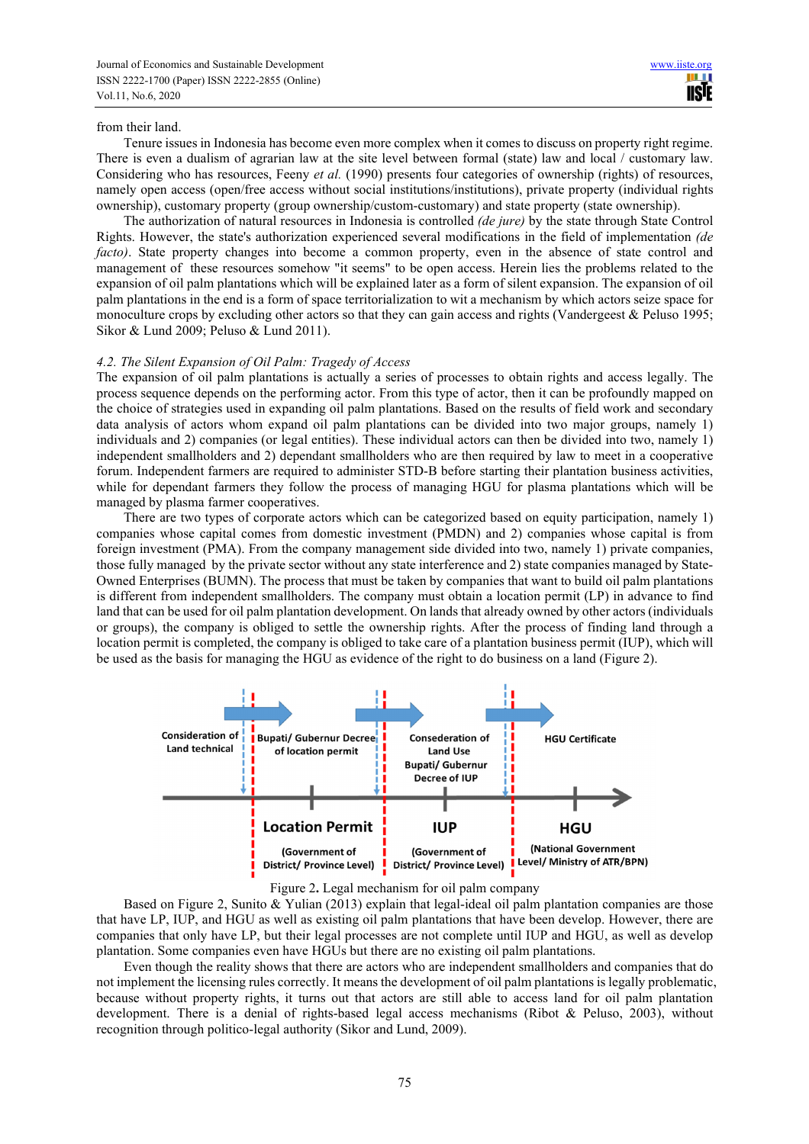#### from their land.

Tenure issues in Indonesia has become even more complex when it comes to discuss on property right regime. There is even a dualism of agrarian law at the site level between formal (state) law and local / customary law. Considering who has resources, Feeny *et al.* (1990) presents four categories of ownership (rights) of resources, namely open access (open/free access without social institutions/institutions), private property (individual rights ownership), customary property (group ownership/custom-customary) and state property (state ownership).

The authorization of natural resources in Indonesia is controlled *(de jure)* by the state through State Control Rights. However, the state's authorization experienced several modifications in the field of implementation *(de facto*). State property changes into become a common property, even in the absence of state control and management of these resources somehow "it seems" to be open access. Herein lies the problems related to the expansion of oil palm plantations which will be explained later as a form of silent expansion. The expansion of oil palm plantations in the end is a form of space territorialization to wit a mechanism by which actors seize space for monoculture crops by excluding other actors so that they can gain access and rights (Vandergeest & Peluso 1995; Sikor & Lund 2009; Peluso & Lund 2011).

### *4.2. The Silent Expansion of Oil Palm: Tragedy of Access*

The expansion of oil palm plantations is actually a series of processes to obtain rights and access legally. The process sequence depends on the performing actor. From this type of actor, then it can be profoundly mapped on the choice of strategies used in expanding oil palm plantations. Based on the results of field work and secondary data analysis of actors whom expand oil palm plantations can be divided into two major groups, namely 1) individuals and 2) companies (or legal entities). These individual actors can then be divided into two, namely 1) independent smallholders and 2) dependant smallholders who are then required by law to meet in a cooperative forum. Independent farmers are required to administer STD-B before starting their plantation business activities, while for dependant farmers they follow the process of managing HGU for plasma plantations which will be managed by plasma farmer cooperatives.

There are two types of corporate actors which can be categorized based on equity participation, namely 1) companies whose capital comes from domestic investment (PMDN) and 2) companies whose capital is from foreign investment (PMA). From the company management side divided into two, namely 1) private companies, those fully managed by the private sector without any state interference and 2) state companies managed by State-Owned Enterprises (BUMN). The process that must be taken by companies that want to build oil palm plantations is different from independent smallholders. The company must obtain a location permit (LP) in advance to find land that can be used for oil palm plantation development. On lands that already owned by other actors (individuals or groups), the company is obliged to settle the ownership rights. After the process of finding land through a location permit is completed, the company is obliged to take care of a plantation business permit (IUP), which will be used as the basis for managing the HGU as evidence of the right to do business on a land (Figure 2).





Based on Figure 2, Sunito & Yulian (2013) explain that legal-ideal oil palm plantation companies are those that have LP, IUP, and HGU as well as existing oil palm plantations that have been develop. However, there are companies that only have LP, but their legal processes are not complete until IUP and HGU, as well as develop plantation. Some companies even have HGUs but there are no existing oil palm plantations.

Even though the reality shows that there are actors who are independent smallholders and companies that do not implement the licensing rules correctly. It means the development of oil palm plantations is legally problematic, because without property rights, it turns out that actors are still able to access land for oil palm plantation development. There is a denial of rights-based legal access mechanisms (Ribot & Peluso, 2003), without recognition through politico-legal authority (Sikor and Lund, 2009).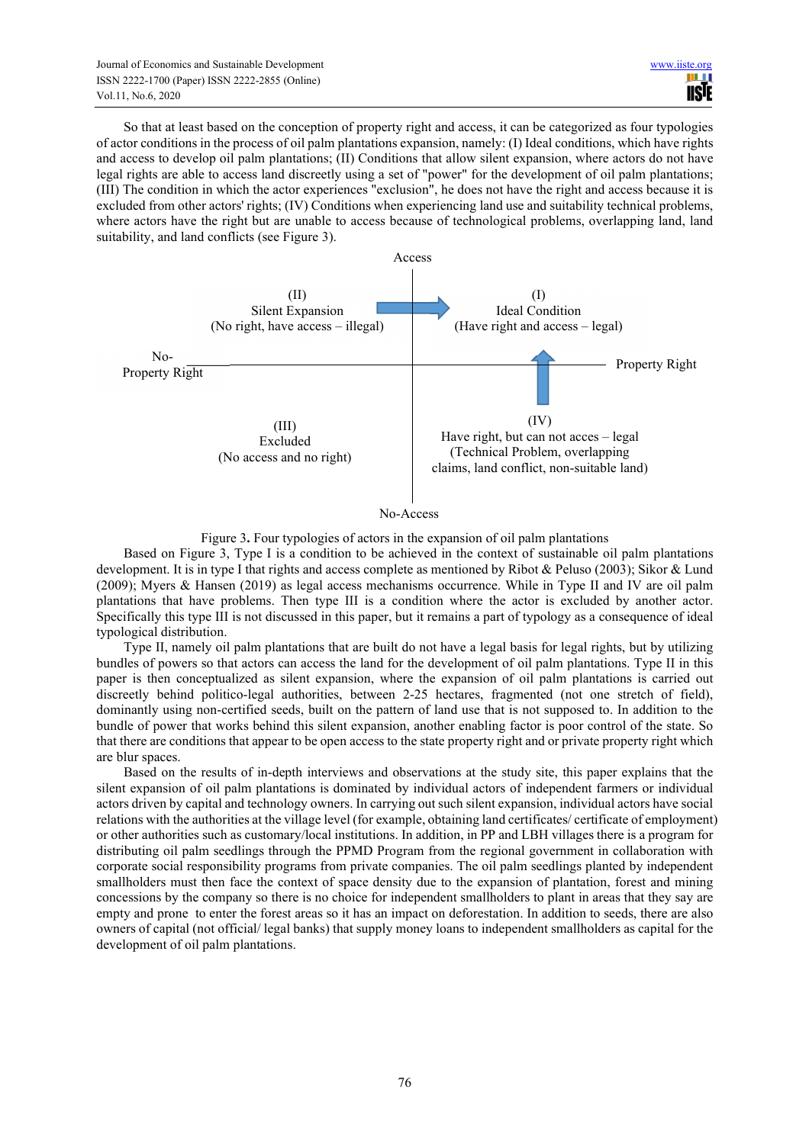So that at least based on the conception of property right and access, it can be categorized as four typologies of actor conditions in the process of oil palm plantations expansion, namely: (I) Ideal conditions, which have rights and access to develop oil palm plantations; (II) Conditions that allow silent expansion, where actors do not have legal rights are able to access land discreetly using a set of "power" for the development of oil palm plantations; (III) The condition in which the actor experiences "exclusion", he does not have the right and access because it is excluded from other actors' rights; (IV) Conditions when experiencing land use and suitability technical problems, where actors have the right but are unable to access because of technological problems, overlapping land, land suitability, and land conflicts (see Figure 3).



No-Access

Figure 3**.** Four typologies of actors in the expansion of oil palm plantations

Based on Figure 3, Type I is a condition to be achieved in the context of sustainable oil palm plantations development. It is in type I that rights and access complete as mentioned by Ribot & Peluso (2003); Sikor & Lund (2009); Myers & Hansen (2019) as legal access mechanisms occurrence. While in Type II and IV are oil palm plantations that have problems. Then type III is a condition where the actor is excluded by another actor. Specifically this type III is not discussed in this paper, but it remains a part of typology as a consequence of ideal typological distribution.

Type II, namely oil palm plantations that are built do not have a legal basis for legal rights, but by utilizing bundles of powers so that actors can access the land for the development of oil palm plantations. Type II in this paper is then conceptualized as silent expansion, where the expansion of oil palm plantations is carried out discreetly behind politico-legal authorities, between 2-25 hectares, fragmented (not one stretch of field), dominantly using non-certified seeds, built on the pattern of land use that is not supposed to. In addition to the bundle of power that works behind this silent expansion, another enabling factor is poor control of the state. So that there are conditions that appear to be open access to the state property right and or private property right which are blur spaces.

Based on the results of in-depth interviews and observations at the study site, this paper explains that the silent expansion of oil palm plantations is dominated by individual actors of independent farmers or individual actors driven by capital and technology owners. In carrying out such silent expansion, individual actors have social relations with the authorities at the village level (for example, obtaining land certificates/ certificate of employment) or other authorities such as customary/local institutions. In addition, in PP and LBH villages there is a program for distributing oil palm seedlings through the PPMD Program from the regional government in collaboration with corporate social responsibility programs from private companies. The oil palm seedlings planted by independent smallholders must then face the context of space density due to the expansion of plantation, forest and mining concessions by the company so there is no choice for independent smallholders to plant in areas that they say are empty and prone to enter the forest areas so it has an impact on deforestation. In addition to seeds, there are also owners of capital (not official/ legal banks) that supply money loans to independent smallholders as capital for the development of oil palm plantations.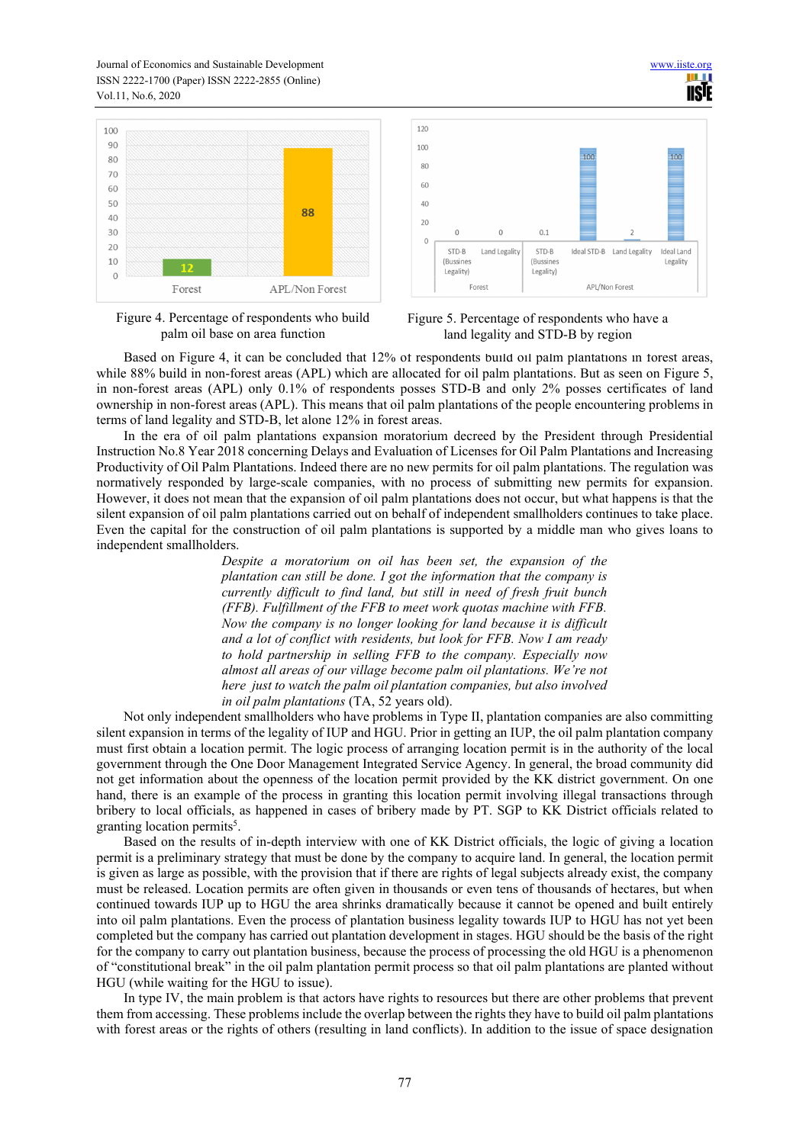Journal of Economics and Sustainable Development www.iiste.org ISSN 2222-1700 (Paper) ISSN 2222-2855 (Online) Vol.11, No.6, 2020





H **IISIE** 

Figure 4. Percentage of respondents who build palm oil base on area function



Based on Figure 4, it can be concluded that 12% of respondents build oil palm plantations in forest areas, while 88% build in non-forest areas (APL) which are allocated for oil palm plantations. But as seen on Figure 5, in non-forest areas (APL) only 0.1% of respondents posses STD-B and only 2% posses certificates of land ownership in non-forest areas (APL). This means that oil palm plantations of the people encountering problems in terms of land legality and STD-B, let alone 12% in forest areas.

In the era of oil palm plantations expansion moratorium decreed by the President through Presidential Instruction No.8 Year 2018 concerning Delays and Evaluation of Licenses for Oil Palm Plantations and Increasing Productivity of Oil Palm Plantations. Indeed there are no new permits for oil palm plantations. The regulation was normatively responded by large-scale companies, with no process of submitting new permits for expansion. However, it does not mean that the expansion of oil palm plantations does not occur, but what happens is that the silent expansion of oil palm plantations carried out on behalf of independent smallholders continues to take place. Even the capital for the construction of oil palm plantations is supported by a middle man who gives loans to independent smallholders.

> *Despite a moratorium on oil has been set, the expansion of the plantation can still be done. I got the information that the company is currently difficult to find land, but still in need of fresh fruit bunch (FFB). Fulfillment of the FFB to meet work quotas machine with FFB. Now the company is no longer looking for land because it is difficult and a lot of conflict with residents, but look for FFB. Now I am ready to hold partnership in selling FFB to the company. Especially now almost all areas of our village become palm oil plantations. We're not here just to watch the palm oil plantation companies, but also involved in oil palm plantations* (TA, 52 years old).

Not only independent smallholders who have problems in Type II, plantation companies are also committing silent expansion in terms of the legality of IUP and HGU. Prior in getting an IUP, the oil palm plantation company must first obtain a location permit. The logic process of arranging location permit is in the authority of the local government through the One Door Management Integrated Service Agency. In general, the broad community did not get information about the openness of the location permit provided by the KK district government. On one hand, there is an example of the process in granting this location permit involving illegal transactions through bribery to local officials, as happened in cases of bribery made by PT. SGP to KK District officials related to granting location permits<sup>5</sup>.

Based on the results of in-depth interview with one of KK District officials, the logic of giving a location permit is a preliminary strategy that must be done by the company to acquire land. In general, the location permit is given as large as possible, with the provision that if there are rights of legal subjects already exist, the company must be released. Location permits are often given in thousands or even tens of thousands of hectares, but when continued towards IUP up to HGU the area shrinks dramatically because it cannot be opened and built entirely into oil palm plantations. Even the process of plantation business legality towards IUP to HGU has not yet been completed but the company has carried out plantation development in stages. HGU should be the basis of the right for the company to carry out plantation business, because the process of processing the old HGU is a phenomenon of "constitutional break" in the oil palm plantation permit process so that oil palm plantations are planted without HGU (while waiting for the HGU to issue).

In type IV, the main problem is that actors have rights to resources but there are other problems that prevent them from accessing. These problems include the overlap between the rights they have to build oil palm plantations with forest areas or the rights of others (resulting in land conflicts). In addition to the issue of space designation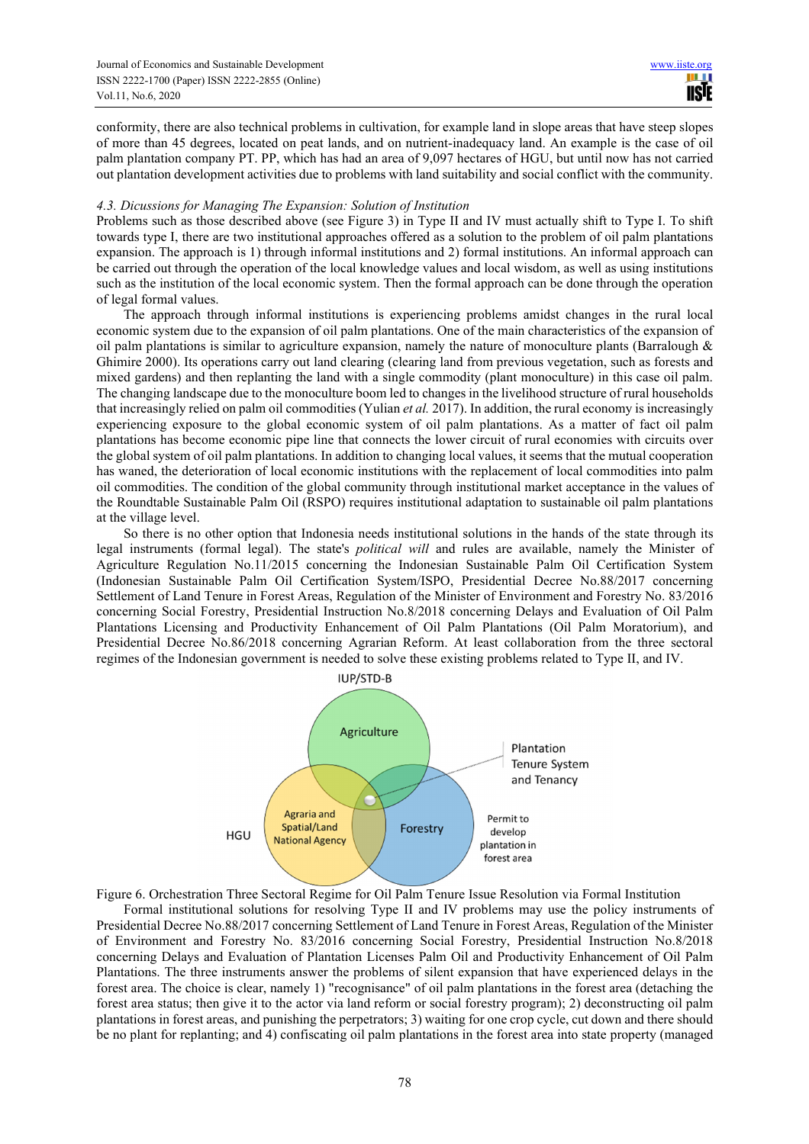conformity, there are also technical problems in cultivation, for example land in slope areas that have steep slopes of more than 45 degrees, located on peat lands, and on nutrient-inadequacy land. An example is the case of oil palm plantation company PT. PP, which has had an area of 9,097 hectares of HGU, but until now has not carried out plantation development activities due to problems with land suitability and social conflict with the community.

## *4.3. Dicussions for Managing The Expansion: Solution of Institution*

Problems such as those described above (see Figure 3) in Type II and IV must actually shift to Type I. To shift towards type I, there are two institutional approaches offered as a solution to the problem of oil palm plantations expansion. The approach is 1) through informal institutions and 2) formal institutions. An informal approach can be carried out through the operation of the local knowledge values and local wisdom, as well as using institutions such as the institution of the local economic system. Then the formal approach can be done through the operation of legal formal values.

The approach through informal institutions is experiencing problems amidst changes in the rural local economic system due to the expansion of oil palm plantations. One of the main characteristics of the expansion of oil palm plantations is similar to agriculture expansion, namely the nature of monoculture plants (Barralough & Ghimire 2000). Its operations carry out land clearing (clearing land from previous vegetation, such as forests and mixed gardens) and then replanting the land with a single commodity (plant monoculture) in this case oil palm. The changing landscape due to the monoculture boom led to changes in the livelihood structure of rural households that increasingly relied on palm oil commodities (Yulian *et al.* 2017). In addition, the rural economy is increasingly experiencing exposure to the global economic system of oil palm plantations. As a matter of fact oil palm plantations has become economic pipe line that connects the lower circuit of rural economies with circuits over the global system of oil palm plantations. In addition to changing local values, it seems that the mutual cooperation has waned, the deterioration of local economic institutions with the replacement of local commodities into palm oil commodities. The condition of the global community through institutional market acceptance in the values of the Roundtable Sustainable Palm Oil (RSPO) requires institutional adaptation to sustainable oil palm plantations at the village level.

So there is no other option that Indonesia needs institutional solutions in the hands of the state through its legal instruments (formal legal). The state's *political will* and rules are available, namely the Minister of Agriculture Regulation No.11/2015 concerning the Indonesian Sustainable Palm Oil Certification System (Indonesian Sustainable Palm Oil Certification System/ISPO, Presidential Decree No.88/2017 concerning Settlement of Land Tenure in Forest Areas, Regulation of the Minister of Environment and Forestry No. 83/2016 concerning Social Forestry, Presidential Instruction No.8/2018 concerning Delays and Evaluation of Oil Palm Plantations Licensing and Productivity Enhancement of Oil Palm Plantations (Oil Palm Moratorium), and Presidential Decree No.86/2018 concerning Agrarian Reform. At least collaboration from the three sectoral regimes of the Indonesian government is needed to solve these existing problems related to Type II, and IV.



Figure 6. Orchestration Three Sectoral Regime for Oil Palm Tenure Issue Resolution via Formal Institution

Formal institutional solutions for resolving Type II and IV problems may use the policy instruments of Presidential Decree No.88/2017 concerning Settlement of Land Tenure in Forest Areas, Regulation of the Minister of Environment and Forestry No. 83/2016 concerning Social Forestry, Presidential Instruction No.8/2018 concerning Delays and Evaluation of Plantation Licenses Palm Oil and Productivity Enhancement of Oil Palm Plantations. The three instruments answer the problems of silent expansion that have experienced delays in the forest area. The choice is clear, namely 1) "recognisance" of oil palm plantations in the forest area (detaching the forest area status; then give it to the actor via land reform or social forestry program); 2) deconstructing oil palm plantations in forest areas, and punishing the perpetrators; 3) waiting for one crop cycle, cut down and there should be no plant for replanting; and 4) confiscating oil palm plantations in the forest area into state property (managed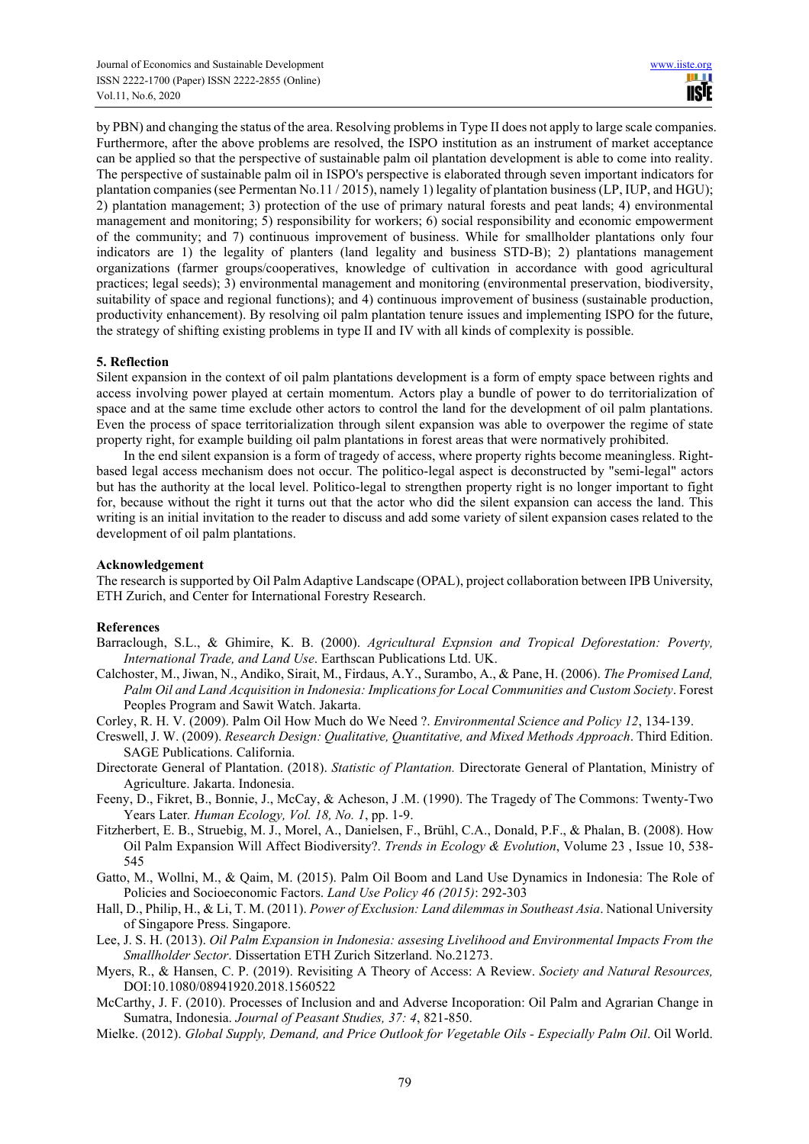by PBN) and changing the status of the area. Resolving problems in Type II does not apply to large scale companies. Furthermore, after the above problems are resolved, the ISPO institution as an instrument of market acceptance can be applied so that the perspective of sustainable palm oil plantation development is able to come into reality. The perspective of sustainable palm oil in ISPO's perspective is elaborated through seven important indicators for plantation companies (see Permentan No.11 / 2015), namely 1) legality of plantation business (LP, IUP, and HGU); 2) plantation management; 3) protection of the use of primary natural forests and peat lands; 4) environmental management and monitoring; 5) responsibility for workers; 6) social responsibility and economic empowerment of the community; and 7) continuous improvement of business. While for smallholder plantations only four indicators are 1) the legality of planters (land legality and business STD-B); 2) plantations management organizations (farmer groups/cooperatives, knowledge of cultivation in accordance with good agricultural practices; legal seeds); 3) environmental management and monitoring (environmental preservation, biodiversity, suitability of space and regional functions); and 4) continuous improvement of business (sustainable production, productivity enhancement). By resolving oil palm plantation tenure issues and implementing ISPO for the future, the strategy of shifting existing problems in type II and IV with all kinds of complexity is possible.

## **5. Reflection**

Silent expansion in the context of oil palm plantations development is a form of empty space between rights and access involving power played at certain momentum. Actors play a bundle of power to do territorialization of space and at the same time exclude other actors to control the land for the development of oil palm plantations. Even the process of space territorialization through silent expansion was able to overpower the regime of state property right, for example building oil palm plantations in forest areas that were normatively prohibited.

In the end silent expansion is a form of tragedy of access, where property rights become meaningless. Rightbased legal access mechanism does not occur. The politico-legal aspect is deconstructed by "semi-legal" actors but has the authority at the local level. Politico-legal to strengthen property right is no longer important to fight for, because without the right it turns out that the actor who did the silent expansion can access the land. This writing is an initial invitation to the reader to discuss and add some variety of silent expansion cases related to the development of oil palm plantations.

## **Acknowledgement**

The research is supported by Oil Palm Adaptive Landscape (OPAL), project collaboration between IPB University, ETH Zurich, and Center for International Forestry Research.

## **References**

- Barraclough, S.L., & Ghimire, K. B. (2000). *Agricultural Expnsion and Tropical Deforestation: Poverty, International Trade, and Land Use*. Earthscan Publications Ltd. UK.
- Calchoster, M., Jiwan, N., Andiko, Sirait, M., Firdaus, A.Y., Surambo, A., & Pane, H. (2006). *The Promised Land, Palm Oil and Land Acquisition in Indonesia: Implications for Local Communities and Custom Society*. Forest Peoples Program and Sawit Watch. Jakarta.
- Corley, R. H. V. (2009). Palm Oil How Much do We Need ?. *Environmental Science and Policy 12*, 134-139.
- Creswell, J. W. (2009). *Research Design: Qualitative, Quantitative, and Mixed Methods Approach*. Third Edition. SAGE Publications. California.
- Directorate General of Plantation. (2018). *Statistic of Plantation.* Directorate General of Plantation, Ministry of Agriculture. Jakarta. Indonesia.
- Feeny, D., Fikret, B., Bonnie, J., McCay, & Acheson, J .M. (1990). The Tragedy of The Commons: Twenty-Two Years Later*. Human Ecology, Vol. 18, No. 1*, pp. 1-9.
- Fitzherbert, E. B., Struebig, M. J., Morel, A., Danielsen, F., Brühl, C.A., Donald, P.F., & Phalan, B. (2008). How Oil Palm Expansion Will Affect Biodiversity?. *Trends in Ecology & Evolution*, Volume 23 , Issue 10, 538- 545
- Gatto, M., Wollni, M., & Qaim, M. (2015). Palm Oil Boom and Land Use Dynamics in Indonesia: The Role of Policies and Socioeconomic Factors. *Land Use Policy 46 (2015)*: 292-303
- Hall, D., Philip, H., & Li, T. M. (2011). *Power of Exclusion: Land dilemmas in Southeast Asia*. National University of Singapore Press. Singapore.
- Lee, J. S. H. (2013). *Oil Palm Expansion in Indonesia: assesing Livelihood and Environmental Impacts From the Smallholder Sector*. Dissertation ETH Zurich Sitzerland. No.21273.
- Myers, R., & Hansen, C. P. (2019). Revisiting A Theory of Access: A Review. *Society and Natural Resources,* DOI:10.1080/08941920.2018.1560522
- McCarthy, J. F. (2010). Processes of Inclusion and and Adverse Incoporation: Oil Palm and Agrarian Change in Sumatra, Indonesia. *Journal of Peasant Studies, 37: 4*, 821-850.
- Mielke. (2012). *Global Supply, Demand, and Price Outlook for Vegetable Oils Especially Palm Oil.* Oil World.